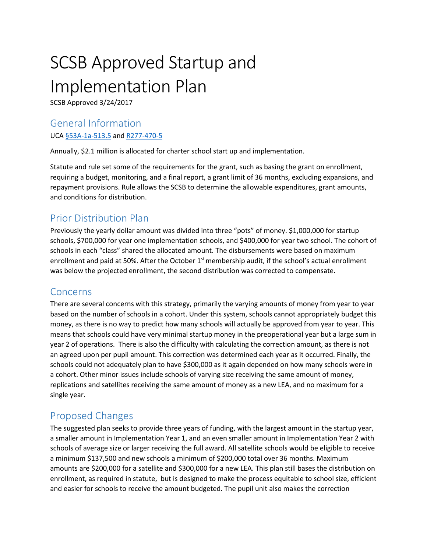# SCSB Approved Startup and Implementation Plan

SCSB Approved 3/24/2017

#### General Information

UCA [§53A-1a-513.5](http://le.utah.gov/xcode/Title53A/Chapter1A/53A-1a-S513.5.html?v=C53A-1a-S513.5_1800010118000101) and [R277-470-5](https://rules.utah.gov/publicat/code/r277/r277-470.htm#T5)

Annually, \$2.1 million is allocated for charter school start up and implementation.

Statute and rule set some of the requirements for the grant, such as basing the grant on enrollment, requiring a budget, monitoring, and a final report, a grant limit of 36 months, excluding expansions, and repayment provisions. Rule allows the SCSB to determine the allowable expenditures, grant amounts, and conditions for distribution.

## Prior Distribution Plan

Previously the yearly dollar amount was divided into three "pots" of money. \$1,000,000 for startup schools, \$700,000 for year one implementation schools, and \$400,000 for year two school. The cohort of schools in each "class" shared the allocated amount. The disbursements were based on maximum enrollment and paid at 50%. After the October  $1<sup>st</sup>$  membership audit, if the school's actual enrollment was below the projected enrollment, the second distribution was corrected to compensate.

#### Concerns

There are several concerns with this strategy, primarily the varying amounts of money from year to year based on the number of schools in a cohort. Under this system, schools cannot appropriately budget this money, as there is no way to predict how many schools will actually be approved from year to year. This means that schools could have very minimal startup money in the preoperational year but a large sum in year 2 of operations. There is also the difficulty with calculating the correction amount, as there is not an agreed upon per pupil amount. This correction was determined each year as it occurred. Finally, the schools could not adequately plan to have \$300,000 as it again depended on how many schools were in a cohort. Other minor issues include schools of varying size receiving the same amount of money, replications and satellites receiving the same amount of money as a new LEA, and no maximum for a single year.

## Proposed Changes

The suggested plan seeks to provide three years of funding, with the largest amount in the startup year, a smaller amount in Implementation Year 1, and an even smaller amount in Implementation Year 2 with schools of average size or larger receiving the full award. All satellite schools would be eligible to receive a minimum \$137,500 and new schools a minimum of \$200,000 total over 36 months. Maximum amounts are \$200,000 for a satellite and \$300,000 for a new LEA. This plan still bases the distribution on enrollment, as required in statute, but is designed to make the process equitable to school size, efficient and easier for schools to receive the amount budgeted. The pupil unit also makes the correction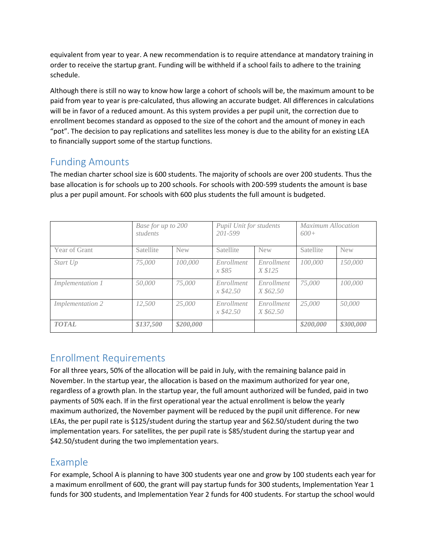equivalent from year to year. A new recommendation is to require attendance at mandatory training in order to receive the startup grant. Funding will be withheld if a school fails to adhere to the training schedule.

Although there is still no way to know how large a cohort of schools will be, the maximum amount to be paid from year to year is pre-calculated, thus allowing an accurate budget. All differences in calculations will be in favor of a reduced amount. As this system provides a per pupil unit, the correction due to enrollment becomes standard as opposed to the size of the cohort and the amount of money in each "pot". The decision to pay replications and satellites less money is due to the ability for an existing LEA to financially support some of the startup functions.

## Funding Amounts

The median charter school size is 600 students. The majority of schools are over 200 students. Thus the base allocation is for schools up to 200 schools. For schools with 200-599 students the amount is base plus a per pupil amount. For schools with 600 plus students the full amount is budgeted.

|                         | Base for up to 200<br>students |            | Pupil Unit for students<br>201-599 |                         | Maximum Allocation<br>$600+$ |            |
|-------------------------|--------------------------------|------------|------------------------------------|-------------------------|------------------------------|------------|
| Year of Grant           | Satellite                      | <b>New</b> | Satellite                          | <b>New</b>              | Satellite                    | <b>New</b> |
| Start Up                | 75,000                         | 100,000    | Enrollment<br>x \$85               | Enrollment<br>X \$125   | 100,000                      | 150,000    |
| <i>Implementation 1</i> | 50,000                         | 75,000     | Enrollment<br>$x\,$ \$42.50        | Enrollment<br>X \$62.50 | 75,000                       | 100,000    |
| <i>Implementation 2</i> | 12,500                         | 25,000     | Enrollment<br>$x\,$ \$42.50        | Enrollment<br>X \$62.50 | 25,000                       | 50,000     |
| <b>TOTAL</b>            | \$137,500                      | \$200,000  |                                    |                         | \$200,000                    | \$300,000  |

## Enrollment Requirements

For all three years, 50% of the allocation will be paid in July, with the remaining balance paid in November. In the startup year, the allocation is based on the maximum authorized for year one, regardless of a growth plan. In the startup year, the full amount authorized will be funded, paid in two payments of 50% each. If in the first operational year the actual enrollment is below the yearly maximum authorized, the November payment will be reduced by the pupil unit difference. For new LEAs, the per pupil rate is \$125/student during the startup year and \$62.50/student during the two implementation years. For satellites, the per pupil rate is \$85/student during the startup year and \$42.50/student during the two implementation years.

## Example

For example, School A is planning to have 300 students year one and grow by 100 students each year for a maximum enrollment of 600, the grant will pay startup funds for 300 students, Implementation Year 1 funds for 300 students, and Implementation Year 2 funds for 400 students. For startup the school would